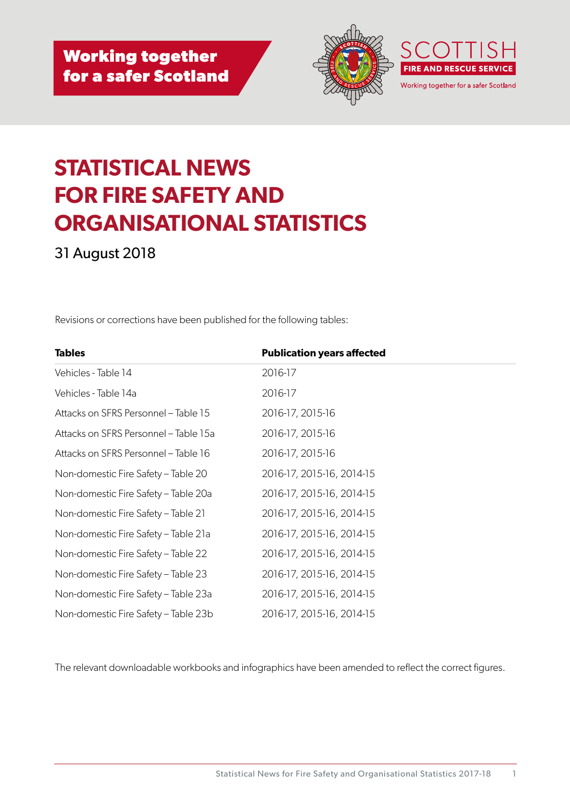



# **STATISTICAL NEWS FOR FIRE SAFETY AND ORGANISATIONAL STATISTICS**

31 August 2018

Revisions or corrections have been published for the following tables:

| <b>Tables</b>                         | <b>Publication years affected</b> |  |
|---------------------------------------|-----------------------------------|--|
| Vehicles - Table 14                   | 2016-17                           |  |
| Vehicles - Table 14a                  | 2016-17                           |  |
| Attacks on SFRS Personnel - Table 15  | 2016-17, 2015-16                  |  |
| Attacks on SFRS Personnel - Table 15a | 2016-17, 2015-16                  |  |
| Attacks on SFRS Personnel - Table 16  | 2016-17, 2015-16                  |  |
| Non-domestic Fire Safety - Table 20   | 2016-17, 2015-16, 2014-15         |  |
| Non-domestic Fire Safety - Table 20a  | 2016-17, 2015-16, 2014-15         |  |
| Non-domestic Fire Safety – Table 21   | 2016-17, 2015-16, 2014-15         |  |
| Non-domestic Fire Safety - Table 21a  | 2016-17, 2015-16, 2014-15         |  |
| Non-domestic Fire Safety – Table 22   | 2016-17, 2015-16, 2014-15         |  |
| Non-domestic Fire Safety - Table 23   | 2016-17, 2015-16, 2014-15         |  |
| Non-domestic Fire Safety – Table 23a  | 2016-17, 2015-16, 2014-15         |  |
| Non-domestic Fire Safety – Table 23b  | 2016-17, 2015-16, 2014-15         |  |

The relevant downloadable workbooks and infographics have been amended to reflect the correct figures.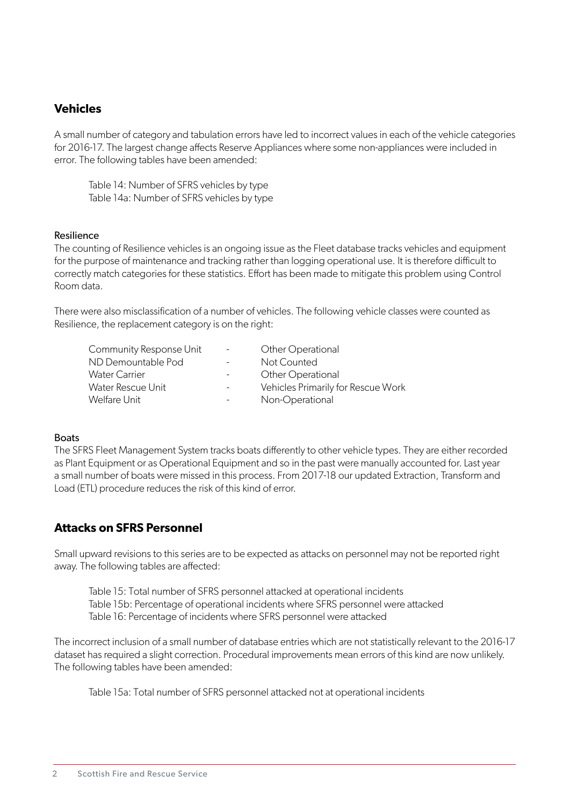### **Vehicles**

A small number of category and tabulation errors have led to incorrect values in each of the vehicle categories for 2016-17. The largest change affects Reserve Appliances where some non-appliances were included in error. The following tables have been amended:

Table 14: Number of SFRS vehicles by type Table 14a: Number of SFRS vehicles by type

#### Resilience

The counting of Resilience vehicles is an ongoing issue as the Fleet database tracks vehicles and equipment for the purpose of maintenance and tracking rather than logging operational use. It is therefore difficult to correctly match categories for these statistics. Effort has been made to mitigate this problem using Control Room data.

There were also misclassification of a number of vehicles. The following vehicle classes were counted as Resilience, the replacement category is on the right:

| Community Response Unit | $\sim$                   | Other Operational                  |
|-------------------------|--------------------------|------------------------------------|
| ND Demountable Pod      | $\overline{\phantom{a}}$ | Not Counted                        |
| Water Carrier           | $\sim$ 10 $\pm$          | Other Operational                  |
| Water Rescue Unit       | $\overline{\phantom{a}}$ | Vehicles Primarily for Rescue Work |
| Welfare Unit            | $\overline{\phantom{a}}$ | Non-Operational                    |
|                         |                          |                                    |

#### Boats

The SFRS Fleet Management System tracks boats differently to other vehicle types. They are either recorded as Plant Equipment or as Operational Equipment and so in the past were manually accounted for. Last year a small number of boats were missed in this process. From 2017-18 our updated Extraction, Transform and Load (ETL) procedure reduces the risk of this kind of error.

#### **Attacks on SFRS Personnel**

Small upward revisions to this series are to be expected as attacks on personnel may not be reported right away. The following tables are affected:

Table 15: Total number of SFRS personnel attacked at operational incidents Table 15b: Percentage of operational incidents where SFRS personnel were attacked Table 16: Percentage of incidents where SFRS personnel were attacked

The incorrect inclusion of a small number of database entries which are not statistically relevant to the 2016-17 dataset has required a slight correction. Procedural improvements mean errors of this kind are now unlikely. The following tables have been amended:

Table 15a: Total number of SFRS personnel attacked not at operational incidents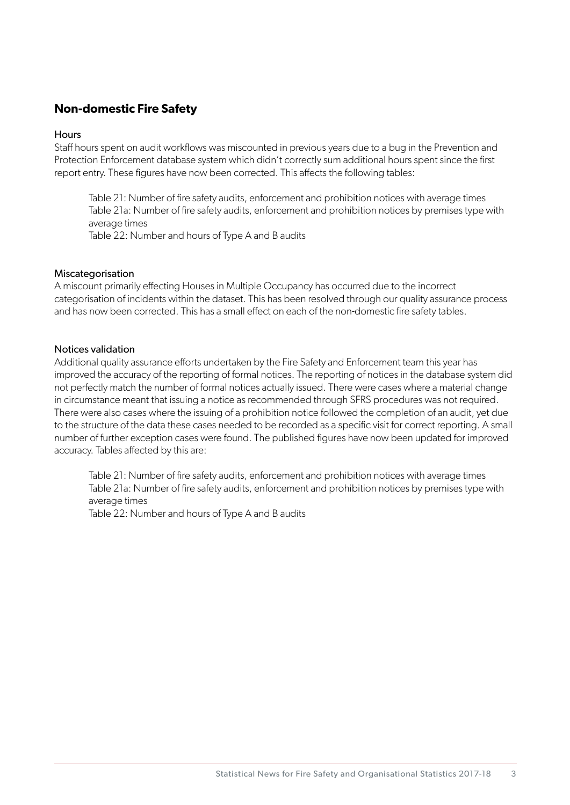### **Non-domestic Fire Safety**

#### **Hours**

Staff hours spent on audit workflows was miscounted in previous years due to a bug in the Prevention and Protection Enforcement database system which didn't correctly sum additional hours spent since the first report entry. These figures have now been corrected. This affects the following tables:

Table 21: Number of fire safety audits, enforcement and prohibition notices with average times Table 21a: Number of fire safety audits, enforcement and prohibition notices by premises type with average times

Table 22: Number and hours of Type A and B audits

#### Miscategorisation

A miscount primarily effecting Houses in Multiple Occupancy has occurred due to the incorrect categorisation of incidents within the dataset. This has been resolved through our quality assurance process and has now been corrected. This has a small effect on each of the non-domestic fire safety tables.

#### Notices validation

Additional quality assurance efforts undertaken by the Fire Safety and Enforcement team this year has improved the accuracy of the reporting of formal notices. The reporting of notices in the database system did not perfectly match the number of formal notices actually issued. There were cases where a material change in circumstance meant that issuing a notice as recommended through SFRS procedures was not required. There were also cases where the issuing of a prohibition notice followed the completion of an audit, yet due to the structure of the data these cases needed to be recorded as a specific visit for correct reporting. A small number of further exception cases were found. The published figures have now been updated for improved accuracy. Tables affected by this are:

Table 21: Number of fire safety audits, enforcement and prohibition notices with average times Table 21a: Number of fire safety audits, enforcement and prohibition notices by premises type with average times

Table 22: Number and hours of Type A and B audits